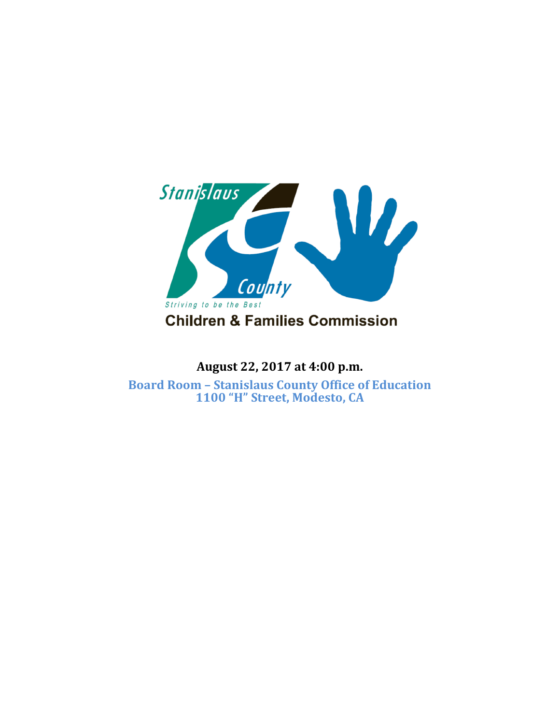

# **August 22, 2017 at 4:00 p.m.**

**Board Room – Stanislaus County Office of Education 1100 "H" Street, Modesto, CA**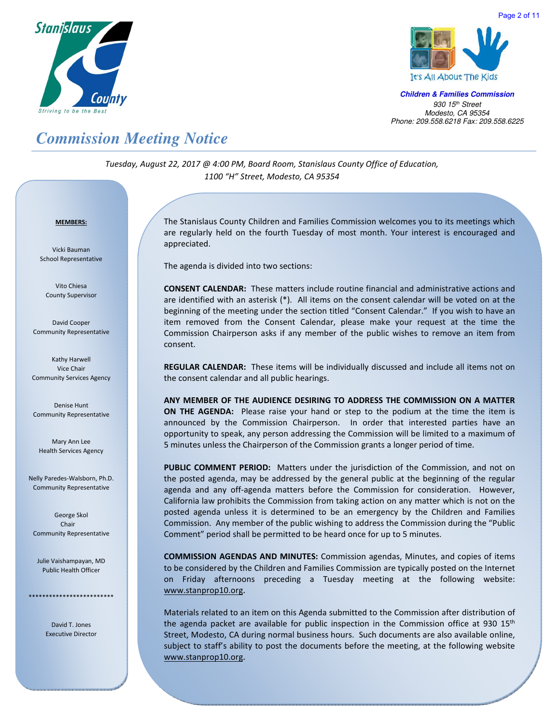



**Children & Families Commission**  *930 15th Street Modesto, CA 95354 Phone: 209.558.6218 Fax: 209.558.6225*

### *Commission Meeting Notice*

*Tuesday, August 22, 2017 @ 4:00 PM, Board Room, Stanislaus County Office of Education, 1100 "H" Street, Modesto, CA 95354*

#### <sup>U</sup>**MEMBERS:**

Vicki Bauman School Representative

Vito Chiesa County Supervisor

David Cooper Community Representative

Kathy Harwell Vice Chair Community Services Agency

Denise Hunt Community Representative

Mary Ann Lee Health Services Agency

Nelly Paredes-Walsborn, Ph.D. Community Representative

George Skol Chair Community Representative

Julie Vaishampayan, MD Public Health Officer

\*\*\*\*\*\*\*\*\*\*\*\*\*\*\*\*\*\*\*\*

David T. Jones Executive Director The Stanislaus County Children and Families Commission welcomes you to its meetings which are regularly held on the fourth Tuesday of most month. Your interest is encouraged and appreciated.

The agenda is divided into two sections:

**CONSENT CALENDAR:** These matters include routine financial and administrative actions and are identified with an asterisk (\*). All items on the consent calendar will be voted on at the beginning of the meeting under the section titled "Consent Calendar." If you wish to have an item removed from the Consent Calendar, please make your request at the time the Commission Chairperson asks if any member of the public wishes to remove an item from consent.

**REGULAR CALENDAR:** These items will be individually discussed and include all items not on the consent calendar and all public hearings.

**ANY MEMBER OF THE AUDIENCE DESIRING TO ADDRESS THE COMMISSION ON A MATTER ON THE AGENDA:** Please raise your hand or step to the podium at the time the item is announced by the Commission Chairperson. In order that interested parties have an opportunity to speak, any person addressing the Commission will be limited to a maximum of 5 minutes unless the Chairperson of the Commission grants a longer period of time.

**PUBLIC COMMENT PERIOD:** Matters under the jurisdiction of the Commission, and not on the posted agenda, may be addressed by the general public at the beginning of the regular agenda and any off-agenda matters before the Commission for consideration. However, California law prohibits the Commission from taking action on any matter which is not on the posted agenda unless it is determined to be an emergency by the Children and Families Commission. Any member of the public wishing to address the Commission during the "Public Comment" period shall be permitted to be heard once for up to 5 minutes.

**COMMISSION AGENDAS AND MINUTES:** Commission agendas, Minutes, and copies of items to be considered by the Children and Families Commission are typically posted on the Internet on Friday afternoons preceding a Tuesday meeting at the following website: www.stanprop10.org.

Materials related to an item on this Agenda submitted to the Commission after distribution of the agenda packet are available for public inspection in the Commission office at 930  $15<sup>th</sup>$ Street, Modesto, CA during normal business hours. Such documents are also available online, subject to staff's ability to post the documents before the meeting, at the following website www.stanprop10.org.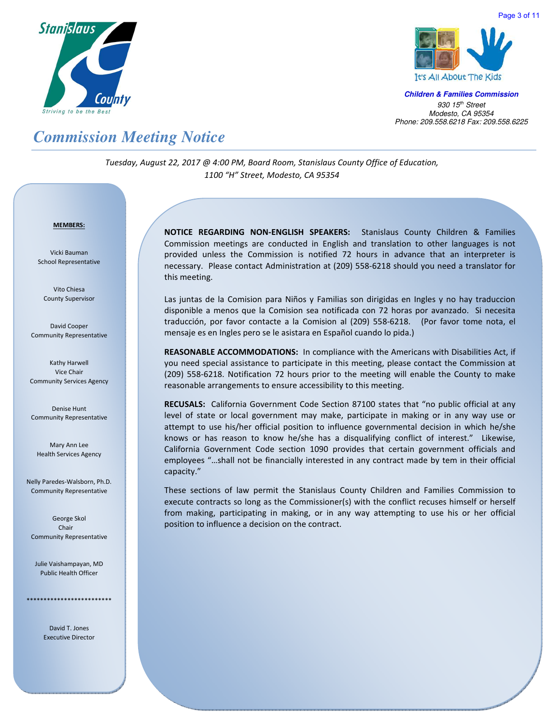



Page 3 of 11

**Children & Families Commission**  *930 15th Street Modesto, CA 95354 Phone: 209.558.6218 Fax: 209.558.6225*

# *Commission Meeting Notice*

*Tuesday, August 22, 2017 @ 4:00 PM, Board Room, Stanislaus County Office of Education, 1100 "H" Street, Modesto, CA 95354*

#### <sup>U</sup>**MEMBERS:**

Vicki Bauman School Representative

Vito Chiesa County Supervisor

David Cooper Community Representative

Kathy Harwell Vice Chair Community Services Agency

Denise Hunt Community Representative

Mary Ann Lee Health Services Agency

Nelly Paredes-Walsborn, Ph.D. Community Representative

George Skol Chair Community Representative

Julie Vaishampayan, MD Public Health Officer

\*\*\*\*\*\*\*\*\*\*\*\*\*\*\*\*\*\*\*\*\*\*\*\*\*

David T. Jones Executive Director **NOTICE REGARDING NON-ENGLISH SPEAKERS:** Stanislaus County Children & Families Commission meetings are conducted in English and translation to other languages is not provided unless the Commission is notified 72 hours in advance that an interpreter is necessary. Please contact Administration at (209) 558-6218 should you need a translator for this meeting.

Las juntas de la Comision para Niños y Familias son dirigidas en Ingles y no hay traduccion disponible a menos que la Comision sea notificada con 72 horas por avanzado. Si necesita traducción, por favor contacte a la Comision al (209) 558-6218. (Por favor tome nota, el mensaje es en Ingles pero se le asistara en Español cuando lo pida.)

**REASONABLE ACCOMMODATIONS:** In compliance with the Americans with Disabilities Act, if you need special assistance to participate in this meeting, please contact the Commission at (209) 558-6218. Notification 72 hours prior to the meeting will enable the County to make reasonable arrangements to ensure accessibility to this meeting.

**RECUSALS:** California Government Code Section 87100 states that "no public official at any level of state or local government may make, participate in making or in any way use or attempt to use his/her official position to influence governmental decision in which he/she knows or has reason to know he/she has a disqualifying conflict of interest." Likewise, California Government Code section 1090 provides that certain government officials and employees "…shall not be financially interested in any contract made by tem in their official capacity."

These sections of law permit the Stanislaus County Children and Families Commission to execute contracts so long as the Commissioner(s) with the conflict recuses himself or herself from making, participating in making, or in any way attempting to use his or her official position to influence a decision on the contract.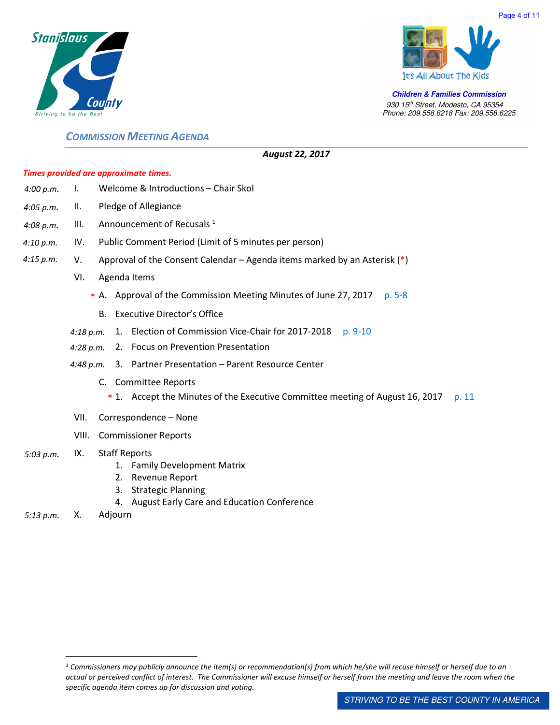



**Children & Families Commission**  *930 15th Street, Modesto, CA 95354 Phone: 209.558.6218 Fax: 209.558.6225*

### *COMMISSION MEETING AGENDA*

#### *August 22, 2017*

#### *Times provided are approximate times.*

| 4:00 p.m. |      | Welcome & Introductions – Chair Skol                                         |  |
|-----------|------|------------------------------------------------------------------------------|--|
| 4:05 p.m. | II.  | Pledge of Allegiance                                                         |  |
| 4:08 p.m. | III. | Announcement of Recusals <sup>1</sup>                                        |  |
| 4:10 p.m. | IV.  | Public Comment Period (Limit of 5 minutes per person)                        |  |
| 4:15 p.m. | V.   | Approval of the Consent Calendar – Agenda items marked by an Asterisk $(*)$  |  |
|           | VI.  | Agenda Items                                                                 |  |
|           |      | * A. Approval of the Commission Meeting Minutes of June 27, 2017<br>$p. 5-8$ |  |
|           |      | B. Executive Director's Office                                               |  |
|           |      | A FL I COLLIN AND A REAL AND A                                               |  |

- 4:18 p.m. 1. Election of Commission Vice-Chair for 2017-2018 p. 9-10
- *4:28 p.m.*  2. Focus on Prevention Presentation
- *4:48 p.m.*  3. Partner Presentation Parent Resource Center
	- C. Committee Reports
		- \* 1. Accept the Minutes of the Executive Committee meeting of August 16, 2017 p. 11
- VII. Correspondence None
- VIII. Commissioner Reports

#### *5:03 p.m.*  IX. Staff Reports

- 1. Family Development Matrix
- 2. Revenue Report
- 3. Strategic Planning
- 4. August Early Care and Education Conference
- *5:13 p.m.* X. Adjourn

l.

*<sup>1</sup> Commissioners may publicly announce the item(s) or recommendation(s) from which he/she will recuse himself or herself due to an actual or perceived conflict of interest. The Commissioner will excuse himself or herself from the meeting and leave the room when the specific agenda item comes up for discussion and voting.*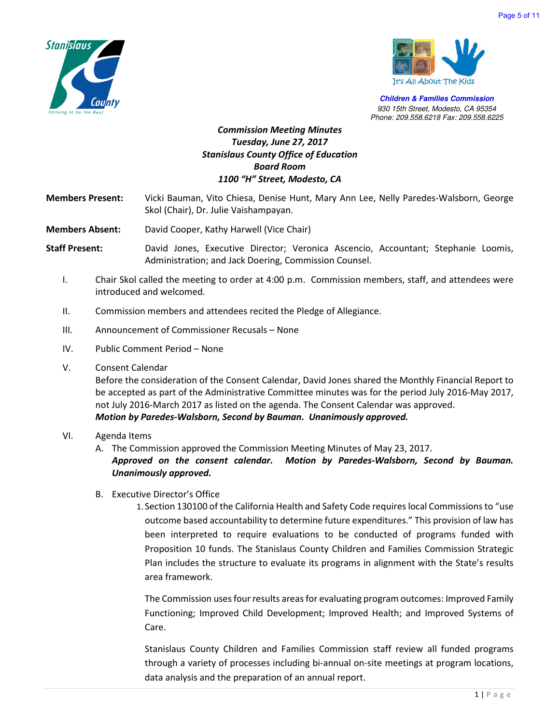



**Children & Families Commission**  *930 15th Street, Modesto, CA 95354 Phone: 209.558.6218 Fax: 209.558.6225*

### *Commission Meeting Minutes Tuesday, June 27, 2017 Stanislaus County Office of Education Board Room 1100 "H" Street, Modesto, CA*

**Members Present:** Vicki Bauman, Vito Chiesa, Denise Hunt, Mary Ann Lee, Nelly Paredes-Walsborn, George Skol (Chair), Dr. Julie Vaishampayan.

**Members Absent:** David Cooper, Kathy Harwell (Vice Chair)

**Staff Present:** David Jones, Executive Director; Veronica Ascencio, Accountant; Stephanie Loomis, Administration; and Jack Doering, Commission Counsel.

- I. Chair Skol called the meeting to order at 4:00 p.m. Commission members, staff, and attendees were introduced and welcomed.
- II. Commission members and attendees recited the Pledge of Allegiance.
- III. Announcement of Commissioner Recusals None
- IV. Public Comment Period None
- V. Consent Calendar

Before the consideration of the Consent Calendar, David Jones shared the Monthly Financial Report to be accepted as part of the Administrative Committee minutes was for the period July 2016-May 2017, not July 2016-March 2017 as listed on the agenda. The Consent Calendar was approved. *Motion by Paredes-Walsborn, Second by Bauman. Unanimously approved.* 

#### VI. Agenda Items

A. The Commission approved the Commission Meeting Minutes of May 23, 2017.

*Approved on the consent calendar. Motion by Paredes-Walsborn, Second by Bauman. Unanimously approved.*

B. Executive Director's Office

1. Section 130100 of the California Health and Safety Code requires local Commissions to "use outcome based accountability to determine future expenditures." This provision of law has been interpreted to require evaluations to be conducted of programs funded with Proposition 10 funds. The Stanislaus County Children and Families Commission Strategic Plan includes the structure to evaluate its programs in alignment with the State's results area framework.

The Commission uses four results areas for evaluating program outcomes: Improved Family Functioning; Improved Child Development; Improved Health; and Improved Systems of Care.

Stanislaus County Children and Families Commission staff review all funded programs through a variety of processes including bi-annual on-site meetings at program locations, data analysis and the preparation of an annual report.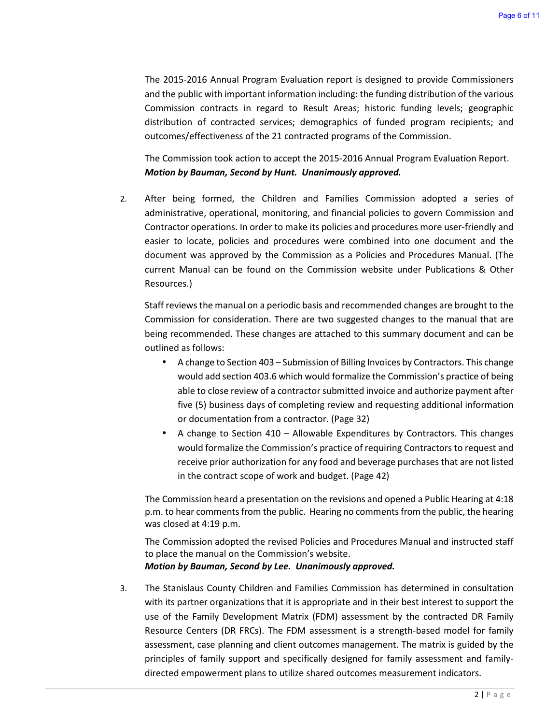The 2015-2016 Annual Program Evaluation report is designed to provide Commissioners and the public with important information including: the funding distribution of the various Commission contracts in regard to Result Areas; historic funding levels; geographic distribution of contracted services; demographics of funded program recipients; and outcomes/effectiveness of the 21 contracted programs of the Commission.

The Commission took action to accept the 2015-2016 Annual Program Evaluation Report. *Motion by Bauman, Second by Hunt. Unanimously approved.*

2. After being formed, the Children and Families Commission adopted a series of administrative, operational, monitoring, and financial policies to govern Commission and Contractor operations. In order to make its policies and procedures more user-friendly and easier to locate, policies and procedures were combined into one document and the document was approved by the Commission as a Policies and Procedures Manual. (The current Manual can be found on the Commission website under Publications & Other Resources.)

Staff reviews the manual on a periodic basis and recommended changes are brought to the Commission for consideration. There are two suggested changes to the manual that are being recommended. These changes are attached to this summary document and can be outlined as follows:

- A change to Section 403 Submission of Billing Invoices by Contractors. This change would add section 403.6 which would formalize the Commission's practice of being able to close review of a contractor submitted invoice and authorize payment after five (5) business days of completing review and requesting additional information or documentation from a contractor. (Page 32)
- A change to Section  $410 -$  Allowable Expenditures by Contractors. This changes would formalize the Commission's practice of requiring Contractors to request and receive prior authorization for any food and beverage purchases that are not listed in the contract scope of work and budget. (Page 42)

The Commission heard a presentation on the revisions and opened a Public Hearing at 4:18 p.m. to hear comments from the public. Hearing no comments from the public, the hearing was closed at 4:19 p.m.

The Commission adopted the revised Policies and Procedures Manual and instructed staff to place the manual on the Commission's website.

#### *Motion by Bauman, Second by Lee. Unanimously approved.*

3. The Stanislaus County Children and Families Commission has determined in consultation with its partner organizations that it is appropriate and in their best interest to support the use of the Family Development Matrix (FDM) assessment by the contracted DR Family Resource Centers (DR FRCs). The FDM assessment is a strength-based model for family assessment, case planning and client outcomes management. The matrix is guided by the principles of family support and specifically designed for family assessment and familydirected empowerment plans to utilize shared outcomes measurement indicators.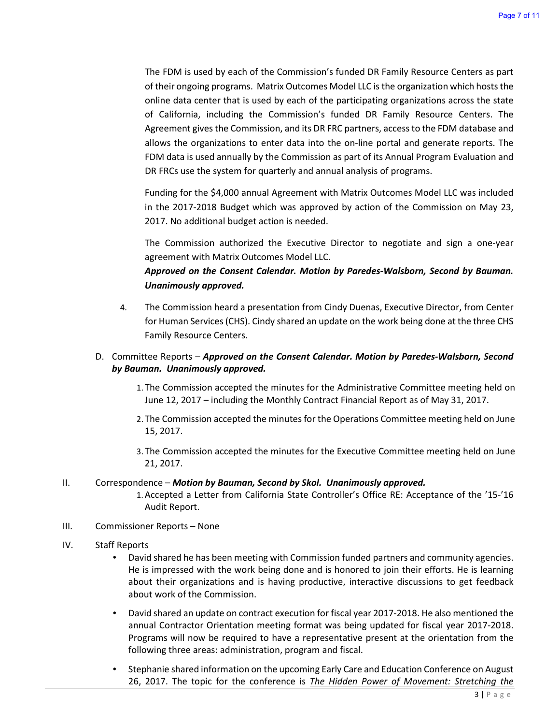The FDM is used by each of the Commission's funded DR Family Resource Centers as part of their ongoing programs. Matrix Outcomes Model LLC is the organization which hosts the online data center that is used by each of the participating organizations across the state of California, including the Commission's funded DR Family Resource Centers. The Agreement gives the Commission, and its DR FRC partners, access to the FDM database and allows the organizations to enter data into the on-line portal and generate reports. The FDM data is used annually by the Commission as part of its Annual Program Evaluation and DR FRCs use the system for quarterly and annual analysis of programs.

Funding for the \$4,000 annual Agreement with Matrix Outcomes Model LLC was included in the 2017-2018 Budget which was approved by action of the Commission on May 23, 2017. No additional budget action is needed.

The Commission authorized the Executive Director to negotiate and sign a one-year agreement with Matrix Outcomes Model LLC.

### *Approved on the Consent Calendar. Motion by Paredes-Walsborn, Second by Bauman. Unanimously approved.*

4. The Commission heard a presentation from Cindy Duenas, Executive Director, from Center for Human Services (CHS). Cindy shared an update on the work being done at the three CHS Family Resource Centers.

#### D. Committee Reports – *Approved on the Consent Calendar. Motion by Paredes-Walsborn, Second by Bauman. Unanimously approved.*

- 1. The Commission accepted the minutes for the Administrative Committee meeting held on June 12, 2017 – including the Monthly Contract Financial Report as of May 31, 2017.
- 2. The Commission accepted the minutes for the Operations Committee meeting held on June 15, 2017.
- 3. The Commission accepted the minutes for the Executive Committee meeting held on June 21, 2017.

#### II. Correspondence – *Motion by Bauman, Second by Skol. Unanimously approved.*

- 1.Accepted a Letter from California State Controller's Office RE: Acceptance of the '15-'16 Audit Report.
- III. Commissioner Reports None

#### IV. Staff Reports

- David shared he has been meeting with Commission funded partners and community agencies. He is impressed with the work being done and is honored to join their efforts. He is learning about their organizations and is having productive, interactive discussions to get feedback about work of the Commission.
- David shared an update on contract execution for fiscal year 2017-2018. He also mentioned the annual Contractor Orientation meeting format was being updated for fiscal year 2017-2018. Programs will now be required to have a representative present at the orientation from the following three areas: administration, program and fiscal.
- Stephanie shared information on the upcoming Early Care and Education Conference on August 26, 2017. The topic for the conference is *The Hidden Power of Movement: Stretching the*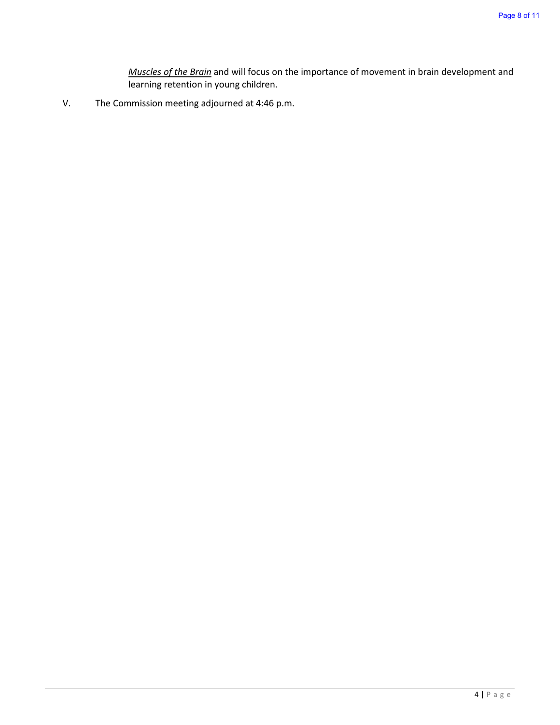*Muscles of the Brain* and will focus on the importance of movement in brain development and learning retention in young children.

V. The Commission meeting adjourned at 4:46 p.m.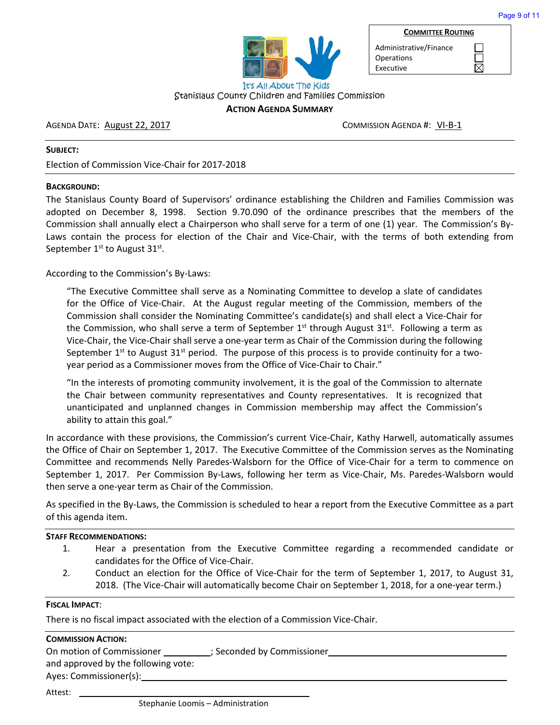

Administrative/Finance **Operations** Executive

**COMMITTEE ROUTING**

 $\boxtimes$ 

### Stanislaus County Children and Families Commission

#### **ACTION AGENDA SUMMARY**

#### AGENDA DATE: August 22, 2017 March 2008 COMMISSION AGENDA #: VI-B-1

#### **SUBJECT:**

Election of Commission Vice-Chair for 2017-2018

#### **BACKGROUND:**

The Stanislaus County Board of Supervisors' ordinance establishing the Children and Families Commission was adopted on December 8, 1998. Section 9.70.090 of the ordinance prescribes that the members of the Commission shall annually elect a Chairperson who shall serve for a term of one (1) year. The Commission's By-Laws contain the process for election of the Chair and Vice-Chair, with the terms of both extending from September  $1<sup>st</sup>$  to August 31 $<sup>st</sup>$ .</sup>

According to the Commission's By-Laws:

"The Executive Committee shall serve as a Nominating Committee to develop a slate of candidates for the Office of Vice-Chair. At the August regular meeting of the Commission, members of the Commission shall consider the Nominating Committee's candidate(s) and shall elect a Vice-Chair for the Commission, who shall serve a term of September  $1<sup>st</sup>$  through August  $31<sup>st</sup>$ . Following a term as Vice-Chair, the Vice-Chair shall serve a one-year term as Chair of the Commission during the following September  $1^{st}$  to August 31 $st$  period. The purpose of this process is to provide continuity for a twoyear period as a Commissioner moves from the Office of Vice-Chair to Chair."

"In the interests of promoting community involvement, it is the goal of the Commission to alternate the Chair between community representatives and County representatives. It is recognized that unanticipated and unplanned changes in Commission membership may affect the Commission's ability to attain this goal."

In accordance with these provisions, the Commission's current Vice-Chair, Kathy Harwell, automatically assumes the Office of Chair on September 1, 2017. The Executive Committee of the Commission serves as the Nominating Committee and recommends Nelly Paredes-Walsborn for the Office of Vice-Chair for a term to commence on September 1, 2017. Per Commission By-Laws, following her term as Vice-Chair, Ms. Paredes-Walsborn would then serve a one-year term as Chair of the Commission.

As specified in the By-Laws, the Commission is scheduled to hear a report from the Executive Committee as a part of this agenda item.

#### **STAFF RECOMMENDATIONS:**

- 1. Hear a presentation from the Executive Committee regarding a recommended candidate or candidates for the Office of Vice-Chair.
- 2. Conduct an election for the Office of Vice-Chair for the term of September 1, 2017, to August 31, 2018. (The Vice-Chair will automatically become Chair on September 1, 2018, for a one-year term.)

#### **FISCAL IMPACT**:

There is no fiscal impact associated with the election of a Commission Vice-Chair.

#### **COMMISSION ACTION:**

| On motion of Commissioner | .; Seconded by Commissioner_ |
|---------------------------|------------------------------|
|---------------------------|------------------------------|

and approved by the following vote:

Ayes: Commissioner(s):

Attest: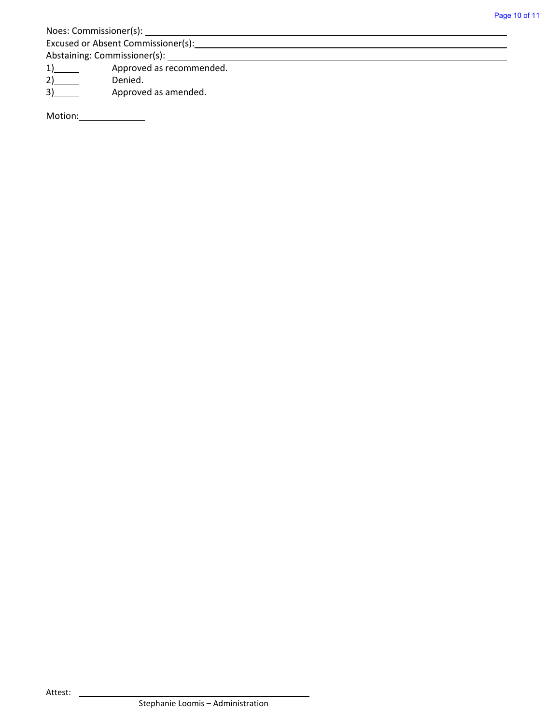| Noes: Commissioner(s): |  |
|------------------------|--|
|                        |  |

Excused or Absent Commissioner(s):

Abstaining: Commissioner(s): \_\_\_\_\_\_\_

2) Denied.

1) Approved as recommended.<br>2) Denied.<br>3) Approved as amended. 3) Approved as amended.

Motion:\_\_\_\_\_\_\_\_\_\_\_\_\_\_\_\_